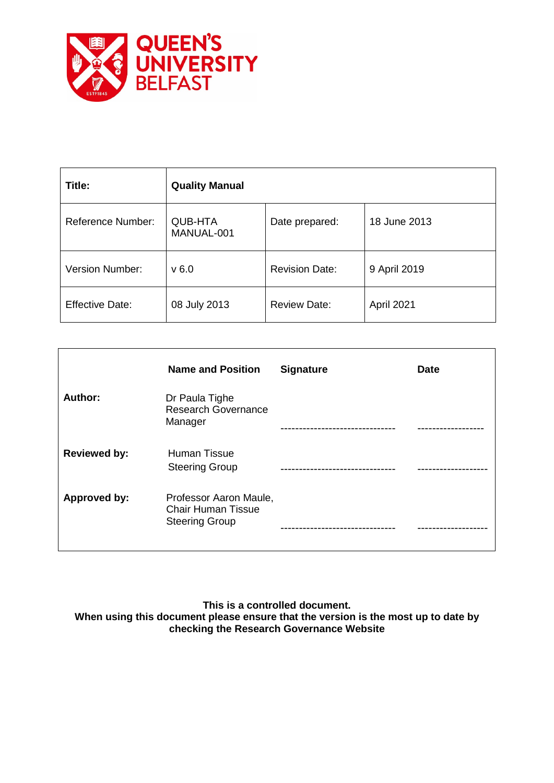

| Title:                   | <b>Quality Manual</b>        |                       |              |
|--------------------------|------------------------------|-----------------------|--------------|
| <b>Reference Number:</b> | <b>QUB-HTA</b><br>MANUAL-001 | Date prepared:        | 18 June 2013 |
| Version Number:          | v6.0                         | <b>Revision Date:</b> | 9 April 2019 |
| <b>Effective Date:</b>   | 08 July 2013                 | <b>Review Date:</b>   | April 2021   |

|                     | <b>Name and Position</b>                                                     | <b>Signature</b>      | <b>Date</b> |
|---------------------|------------------------------------------------------------------------------|-----------------------|-------------|
| Author:             | Dr Paula Tighe<br><b>Research Governance</b><br>Manager                      | --------------------- |             |
| <b>Reviewed by:</b> | Human Tissue<br><b>Steering Group</b>                                        |                       |             |
| <b>Approved by:</b> | Professor Aaron Maule,<br><b>Chair Human Tissue</b><br><b>Steering Group</b> |                       |             |

**This is a controlled document.**

**When using this document please ensure that the version is the most up to date by checking the Research Governance Website**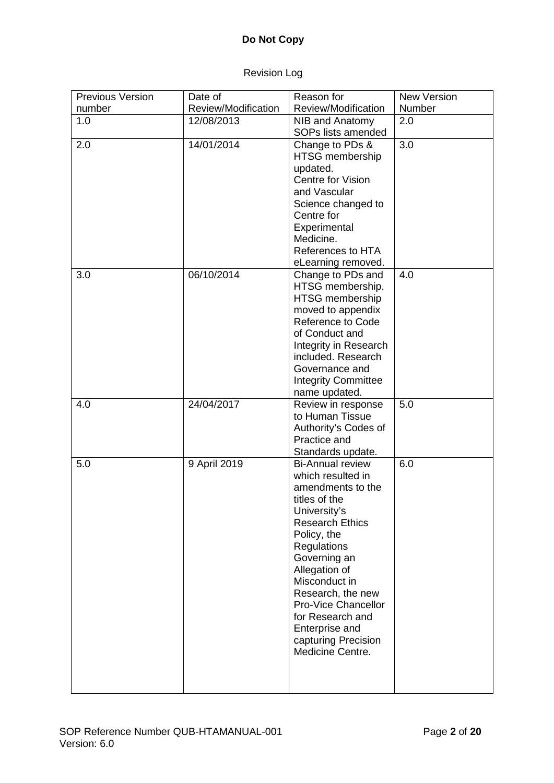# **Do Not Copy**

# Revision Log

| <b>Previous Version</b> | Date of             | Reason for                              | <b>New Version</b> |
|-------------------------|---------------------|-----------------------------------------|--------------------|
| number                  | Review/Modification | Review/Modification                     | Number             |
| 1.0                     | 12/08/2013          | NIB and Anatomy                         | 2.0                |
|                         |                     | SOPs lists amended                      |                    |
| 2.0                     | 14/01/2014          | Change to PDs &                         | 3.0                |
|                         |                     | HTSG membership                         |                    |
|                         |                     | updated.                                |                    |
|                         |                     | Centre for Vision                       |                    |
|                         |                     | and Vascular                            |                    |
|                         |                     | Science changed to                      |                    |
|                         |                     | Centre for                              |                    |
|                         |                     | Experimental<br>Medicine.               |                    |
|                         |                     | References to HTA                       |                    |
|                         |                     |                                         |                    |
| 3.0                     | 06/10/2014          | eLearning removed.<br>Change to PDs and | 4.0                |
|                         |                     | HTSG membership.                        |                    |
|                         |                     | HTSG membership                         |                    |
|                         |                     | moved to appendix                       |                    |
|                         |                     | <b>Reference to Code</b>                |                    |
|                         |                     | of Conduct and                          |                    |
|                         |                     | Integrity in Research                   |                    |
|                         |                     | included. Research                      |                    |
|                         |                     | Governance and                          |                    |
|                         |                     | <b>Integrity Committee</b>              |                    |
|                         |                     | name updated.                           |                    |
| 4.0                     | 24/04/2017          | Review in response                      | 5.0                |
|                         |                     | to Human Tissue                         |                    |
|                         |                     | Authority's Codes of                    |                    |
|                         |                     | Practice and                            |                    |
|                         |                     | Standards update.                       |                    |
| 5.0                     | 9 April 2019        | <b>Bi-Annual review</b>                 | 6.0                |
|                         |                     | which resulted in                       |                    |
|                         |                     | amendments to the<br>titles of the      |                    |
|                         |                     | University's                            |                    |
|                         |                     | <b>Research Ethics</b>                  |                    |
|                         |                     | Policy, the                             |                    |
|                         |                     | Regulations                             |                    |
|                         |                     | Governing an                            |                    |
|                         |                     | Allegation of                           |                    |
|                         |                     | Misconduct in                           |                    |
|                         |                     | Research, the new                       |                    |
|                         |                     | <b>Pro-Vice Chancellor</b>              |                    |
|                         |                     | for Research and                        |                    |
|                         |                     | Enterprise and                          |                    |
|                         |                     | capturing Precision                     |                    |
|                         |                     | Medicine Centre.                        |                    |
|                         |                     |                                         |                    |
|                         |                     |                                         |                    |
|                         |                     |                                         |                    |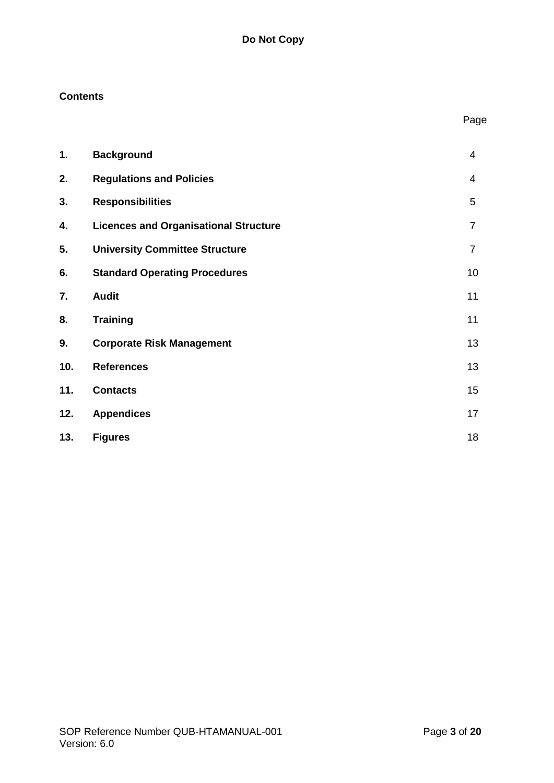# **Contents**

| 1.  | <b>Background</b>                            | 4              |
|-----|----------------------------------------------|----------------|
| 2.  | <b>Regulations and Policies</b>              | 4              |
| 3.  | <b>Responsibilities</b>                      | 5              |
| 4.  | <b>Licences and Organisational Structure</b> | $\overline{7}$ |
| 5.  | <b>University Committee Structure</b>        | 7              |
| 6.  | <b>Standard Operating Procedures</b>         | 10             |
| 7.  | <b>Audit</b>                                 | 11             |
| 8.  | <b>Training</b>                              | 11             |
| 9.  | <b>Corporate Risk Management</b>             | 13             |
| 10. | <b>References</b>                            | 13             |
| 11. | <b>Contacts</b>                              | 15             |
| 12. | <b>Appendices</b>                            | 17             |
| 13. | <b>Figures</b>                               | 18             |

Page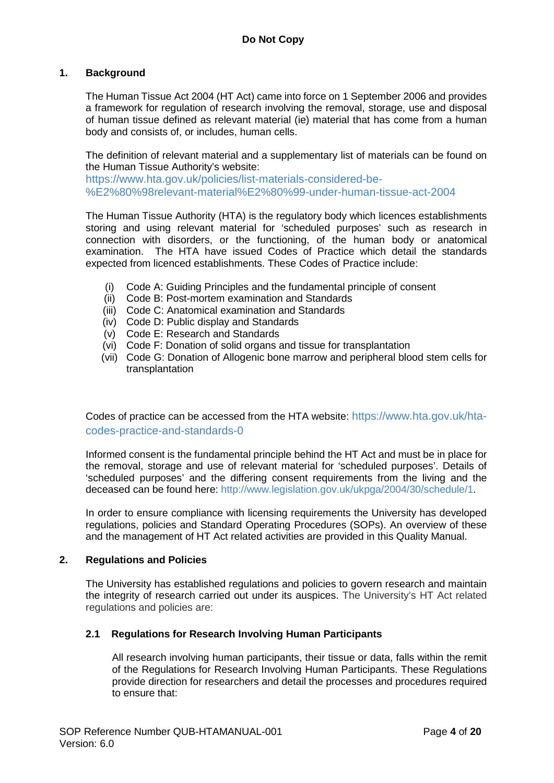### **1. Background**

The Human Tissue Act 2004 (HT Act) came into force on 1 September 2006 and provides a framework for regulation of research involving the removal, storage, use and disposal of human tissue defined as relevant material (ie) material that has come from a human body and consists of, or includes, human cells.

The definition of relevant material and a supplementary list of materials can be found on the Human Tissue Authority's website:

[https://www.hta.gov.uk/policies/list-materials-considered-be-](https://www.hta.gov.uk/policies/list-materials-considered-be-%E2%80%98relevant-material%E2%80%99-under-human-tissue-act-2004) [%E2%80%98relevant-material%E2%80%99-under-human-tissue-act-2004](https://www.hta.gov.uk/policies/list-materials-considered-be-%E2%80%98relevant-material%E2%80%99-under-human-tissue-act-2004)

The Human Tissue Authority (HTA) is the regulatory body which licences establishments storing and using relevant material for 'scheduled purposes' such as research in connection with disorders, or the functioning, of the human body or anatomical examination. The HTA have issued Codes of Practice which detail the standards expected from licenced establishments. These Codes of Practice include:

- (i) Code A: Guiding Principles and the fundamental principle of consent
- (ii) Code B: Post-mortem examination and Standards
- (iii) Code C: Anatomical examination and Standards
- (iv) Code D: Public display and Standards
- (v) Code E: Research and Standards
- (vi) Code F: Donation of solid organs and tissue for transplantation
- (vii) Code G: Donation of Allogenic bone marrow and peripheral blood stem cells for transplantation

Codes of practice can be accessed from the HTA website: [https://www.hta.gov.uk/hta](https://www.hta.gov.uk/hta-codes-practice-and-standards-0)[codes-practice-and-standards-0](https://www.hta.gov.uk/hta-codes-practice-and-standards-0)

Informed consent is the fundamental principle behind the HT Act and must be in place for the removal, storage and use of relevant material for 'scheduled purposes'. Details of 'scheduled purposes' and the differing consent requirements from the living and the deceased can be found here: [http://www.legislation.gov.uk/ukpga/2004/30/schedule/1.](http://www.legislation.gov.uk/ukpga/2004/30/schedule/1)

In order to ensure compliance with licensing requirements the University has developed regulations, policies and Standard Operating Procedures (SOPs). An overview of these and the management of HT Act related activities are provided in this Quality Manual.

#### **2. Regulations and Policies**

The University has established regulations and policies to govern research and maintain the integrity of research carried out under its auspices. The University's HT Act related regulations and policies are:

### **2.1 Regulations for Research Involving Human Participants**

All research involving human participants, their tissue or data, falls within the remit of the Regulations for Research Involving Human Participants. These Regulations provide direction for researchers and detail the processes and procedures required to ensure that: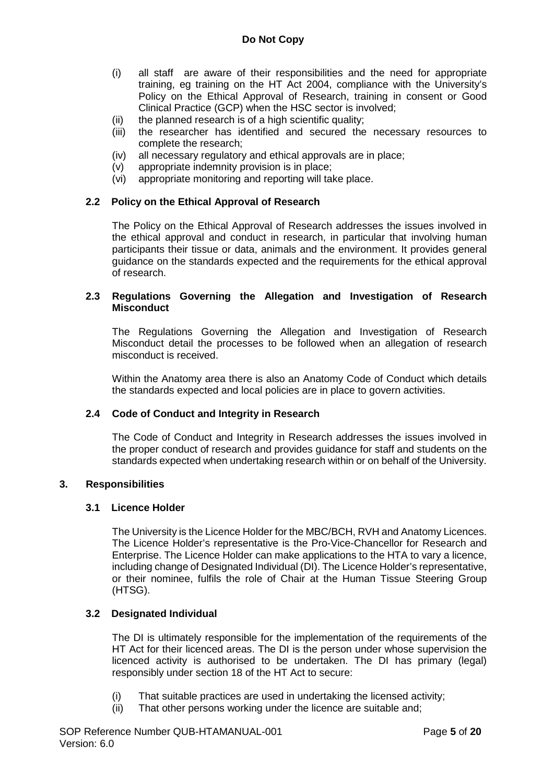- (i) all staff are aware of their responsibilities and the need for appropriate training, eg training on the HT Act 2004, compliance with the University's Policy on the Ethical Approval of Research, training in consent or Good Clinical Practice (GCP) when the HSC sector is involved;
- (ii) the planned research is of a high scientific quality;
- (iii) the researcher has identified and secured the necessary resources to complete the research;
- (iv) all necessary regulatory and ethical approvals are in place;
- (v) appropriate indemnity provision is in place;
- (vi) appropriate monitoring and reporting will take place.

### **2.2 Policy on the Ethical Approval of Research**

The Policy on the Ethical Approval of Research addresses the issues involved in the ethical approval and conduct in research, in particular that involving human participants their tissue or data, animals and the environment. It provides general guidance on the standards expected and the requirements for the ethical approval of research.

### **2.3 Regulations Governing the Allegation and Investigation of Research Misconduct**

The Regulations Governing the Allegation and Investigation of Research Misconduct detail the processes to be followed when an allegation of research misconduct is received.

Within the Anatomy area there is also an Anatomy Code of Conduct which details the standards expected and local policies are in place to govern activities.

### **2.4 Code of Conduct and Integrity in Research**

The Code of Conduct and Integrity in Research addresses the issues involved in the proper conduct of research and provides guidance for staff and students on the standards expected when undertaking research within or on behalf of the University.

### **3. Responsibilities**

### **3.1 Licence Holder**

The University is the Licence Holder for the MBC/BCH, RVH and Anatomy Licences. The Licence Holder's representative is the Pro-Vice-Chancellor for Research and Enterprise. The Licence Holder can make applications to the HTA to vary a licence, including change of Designated Individual (DI). The Licence Holder's representative, or their nominee, fulfils the role of Chair at the Human Tissue Steering Group (HTSG).

### **3.2 Designated Individual**

The DI is ultimately responsible for the implementation of the requirements of the HT Act for their licenced areas. The DI is the person under whose supervision the licenced activity is authorised to be undertaken. The DI has primary (legal) responsibly under section 18 of the HT Act to secure:

- (i) That suitable practices are used in undertaking the licensed activity;
- (ii) That other persons working under the licence are suitable and;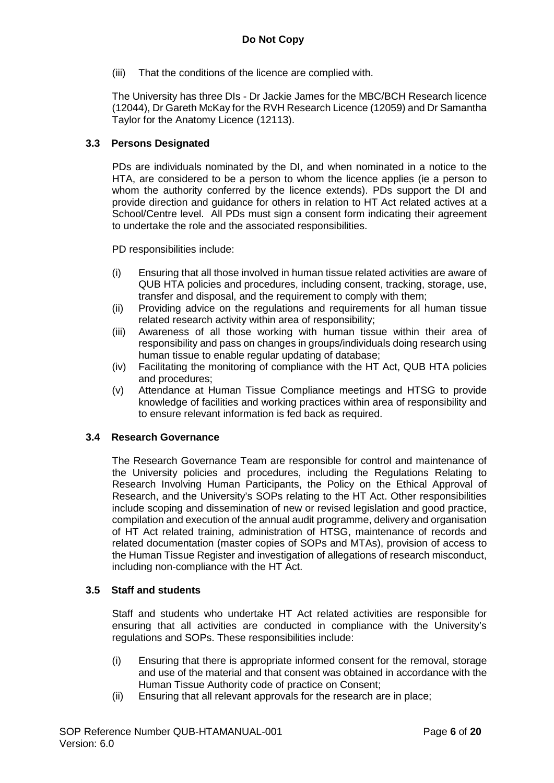(iii) That the conditions of the licence are complied with.

The University has three DIs - Dr Jackie James for the MBC/BCH Research licence (12044), Dr Gareth McKay for the RVH Research Licence (12059) and Dr Samantha Taylor for the Anatomy Licence (12113).

### **3.3 Persons Designated**

PDs are individuals nominated by the DI, and when nominated in a notice to the HTA, are considered to be a person to whom the licence applies (ie a person to whom the authority conferred by the licence extends). PDs support the DI and provide direction and guidance for others in relation to HT Act related actives at a School/Centre level. All PDs must sign a consent form indicating their agreement to undertake the role and the associated responsibilities.

PD responsibilities include:

- (i) Ensuring that all those involved in human tissue related activities are aware of QUB HTA policies and procedures, including consent, tracking, storage, use, transfer and disposal, and the requirement to comply with them;
- (ii) Providing advice on the regulations and requirements for all human tissue related research activity within area of responsibility;
- (iii) Awareness of all those working with human tissue within their area of responsibility and pass on changes in groups/individuals doing research using human tissue to enable regular updating of database;
- (iv) Facilitating the monitoring of compliance with the HT Act, QUB HTA policies and procedures;
- (v) Attendance at Human Tissue Compliance meetings and HTSG to provide knowledge of facilities and working practices within area of responsibility and to ensure relevant information is fed back as required.

#### **3.4 Research Governance**

The Research Governance Team are responsible for control and maintenance of the University policies and procedures, including the Regulations Relating to Research Involving Human Participants, the Policy on the Ethical Approval of Research, and the University's SOPs relating to the HT Act. Other responsibilities include scoping and dissemination of new or revised legislation and good practice, compilation and execution of the annual audit programme, delivery and organisation of HT Act related training, administration of HTSG, maintenance of records and related documentation (master copies of SOPs and MTAs), provision of access to the Human Tissue Register and investigation of allegations of research misconduct, including non-compliance with the HT Act.

### **3.5 Staff and students**

Staff and students who undertake HT Act related activities are responsible for ensuring that all activities are conducted in compliance with the University's regulations and SOPs. These responsibilities include:

- (i) Ensuring that there is appropriate informed consent for the removal, storage and use of the material and that consent was obtained in accordance with the Human Tissue Authority code of practice on Consent;
- (ii) Ensuring that all relevant approvals for the research are in place;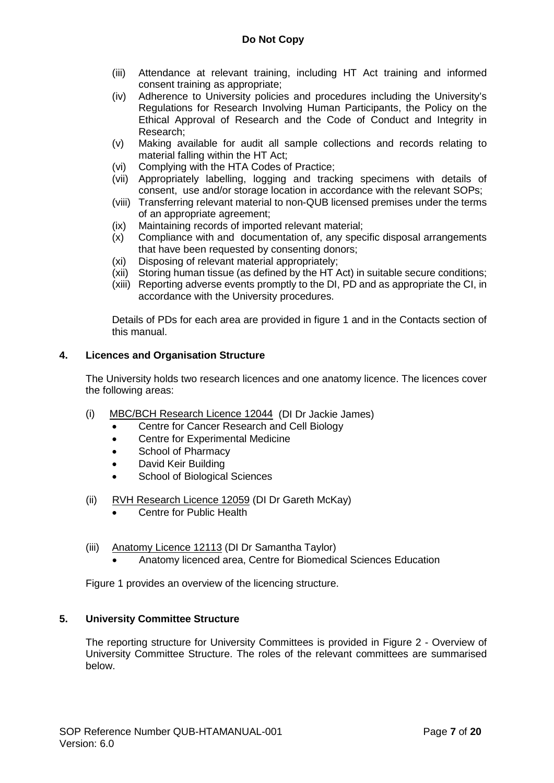- (iii) Attendance at relevant training, including HT Act training and informed consent training as appropriate;
- (iv) Adherence to University policies and procedures including the University's Regulations for Research Involving Human Participants, the Policy on the Ethical Approval of Research and the Code of Conduct and Integrity in Research;
- (v) Making available for audit all sample collections and records relating to material falling within the HT Act;
- (vi) Complying with the HTA Codes of Practice;
- (vii) Appropriately labelling, logging and tracking specimens with details of consent, use and/or storage location in accordance with the relevant SOPs;
- (viii) Transferring relevant material to non-QUB licensed premises under the terms of an appropriate agreement;
- (ix) Maintaining records of imported relevant material;
- (x) Compliance with and documentation of, any specific disposal arrangements that have been requested by consenting donors;
- (xi) Disposing of relevant material appropriately;
- (xii) Storing human tissue (as defined by the HT Act) in suitable secure conditions;
- (xiii) Reporting adverse events promptly to the DI, PD and as appropriate the CI, in accordance with the University procedures.

Details of PDs for each area are provided in figure 1 and in the Contacts section of this manual.

### **4. Licences and Organisation Structure**

The University holds two research licences and one anatomy licence. The licences cover the following areas:

- (i) MBC/BCH Research Licence 12044 (DI Dr Jackie James)
	- Centre for Cancer Research and Cell Biology
	- Centre for Experimental Medicine
	- School of Pharmacy
	- David Keir Building
	- School of Biological Sciences
- (ii) RVH Research Licence 12059 (DI Dr Gareth McKay)
	- Centre for Public Health
- (iii) Anatomy Licence 12113 (DI Dr Samantha Taylor)
	- Anatomy licenced area, Centre for Biomedical Sciences Education

Figure 1 provides an overview of the licencing structure.

#### **5. University Committee Structure**

The reporting structure for University Committees is provided in Figure 2 - Overview of University Committee Structure. The roles of the relevant committees are summarised below.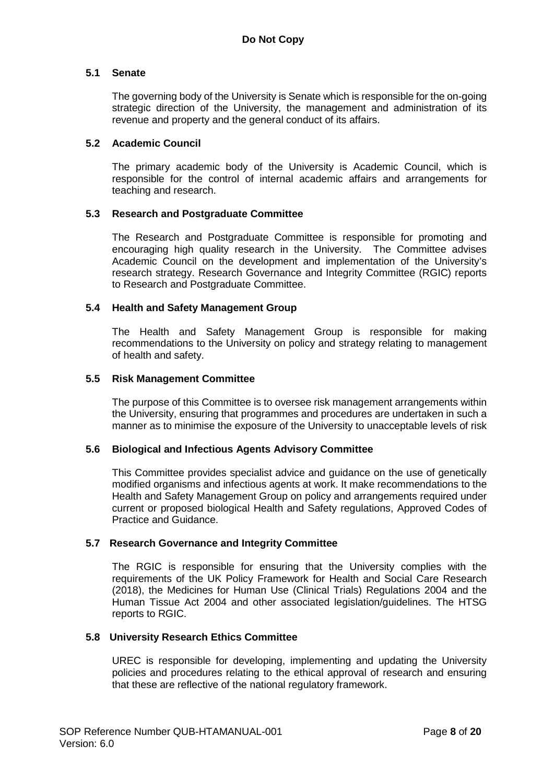### **5.1 Senate**

The governing body of the University is Senate which is responsible for the on-going strategic direction of the University, the management and administration of its revenue and property and the general conduct of its affairs.

### **5.2 Academic Council**

The primary academic body of the University is Academic Council, which is responsible for the control of internal academic affairs and arrangements for teaching and research.

### **5.3 Research and Postgraduate Committee**

The Research and Postgraduate Committee is responsible for promoting and encouraging high quality research in the University. The Committee advises Academic Council on the development and implementation of the University's research strategy. Research Governance and Integrity Committee (RGIC) reports to Research and Postgraduate Committee.

### **5.4 Health and Safety Management Group**

The Health and Safety Management Group is responsible for making recommendations to the University on policy and strategy relating to management of health and safety.

### **5.5 Risk Management Committee**

The purpose of this Committee is to oversee risk management arrangements within the University, ensuring that programmes and procedures are undertaken in such a manner as to minimise the exposure of the University to unacceptable levels of risk

### **5.6 Biological and Infectious Agents Advisory Committee**

This Committee provides specialist advice and guidance on the use of genetically modified organisms and infectious agents at work. It make recommendations to the Health and Safety Management Group on policy and arrangements required under current or proposed biological Health and Safety regulations, Approved Codes of Practice and Guidance.

#### **5.7 Research Governance and Integrity Committee**

The RGIC is responsible for ensuring that the University complies with the requirements of the UK Policy Framework for Health and Social Care Research (2018), the Medicines for Human Use (Clinical Trials) Regulations 2004 and the Human Tissue Act 2004 and other associated legislation/guidelines. The HTSG reports to RGIC.

#### **5.8 University Research Ethics Committee**

UREC is responsible for developing, implementing and updating the University policies and procedures relating to the ethical approval of research and ensuring that these are reflective of the national regulatory framework.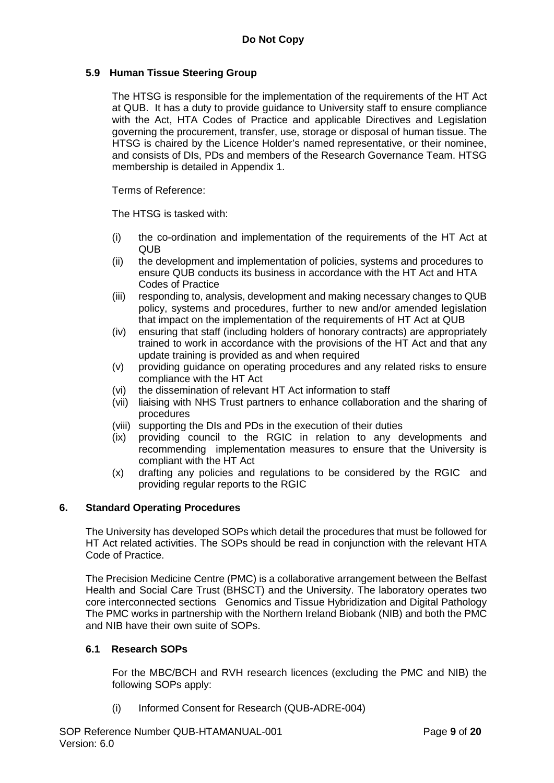### **5.9 Human Tissue Steering Group**

The HTSG is responsible for the implementation of the requirements of the HT Act at QUB. It has a duty to provide guidance to University staff to ensure compliance with the Act, HTA Codes of Practice and applicable Directives and Legislation governing the procurement, transfer, use, storage or disposal of human tissue. The HTSG is chaired by the Licence Holder's named representative, or their nominee, and consists of DIs, PDs and members of the Research Governance Team. HTSG membership is detailed in Appendix 1.

Terms of Reference:

The HTSG is tasked with:

- (i) the co-ordination and implementation of the requirements of the HT Act at QUB
- (ii) the development and implementation of policies, systems and procedures to ensure QUB conducts its business in accordance with the HT Act and HTA Codes of Practice
- (iii) responding to, analysis, development and making necessary changes to QUB policy, systems and procedures, further to new and/or amended legislation that impact on the implementation of the requirements of HT Act at QUB
- (iv) ensuring that staff (including holders of honorary contracts) are appropriately trained to work in accordance with the provisions of the HT Act and that any update training is provided as and when required
- (v) providing guidance on operating procedures and any related risks to ensure compliance with the HT Act
- (vi) the dissemination of relevant HT Act information to staff
- (vii) liaising with NHS Trust partners to enhance collaboration and the sharing of procedures
- (viii) supporting the DIs and PDs in the execution of their duties
- (ix) providing council to the RGIC in relation to any developments and recommending implementation measures to ensure that the University is compliant with the HT Act
- (x) drafting any policies and regulations to be considered by the RGIC and providing regular reports to the RGIC

### **6. Standard Operating Procedures**

The University has developed SOPs which detail the procedures that must be followed for HT Act related activities. The SOPs should be read in conjunction with the relevant HTA Code of Practice.

The Precision Medicine Centre (PMC) is a collaborative arrangement between the Belfast Health and Social Care Trust (BHSCT) and the University. The laboratory operates two core interconnected sections Genomics and Tissue Hybridization and Digital Pathology The PMC works in partnership with the Northern Ireland Biobank (NIB) and both the PMC and NIB have their own suite of SOPs.

### **6.1 Research SOPs**

For the MBC/BCH and RVH research licences (excluding the PMC and NIB) the following SOPs apply:

(i) Informed Consent for Research (QUB-ADRE-004)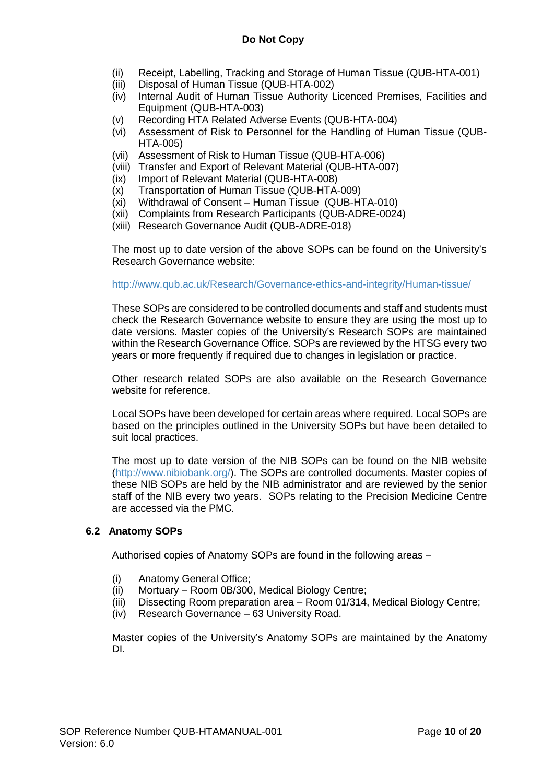- (ii) Receipt, Labelling, Tracking and Storage of Human Tissue (QUB-HTA-001)
- (iii) Disposal of Human Tissue (QUB-HTA-002)
- (iv) Internal Audit of Human Tissue Authority Licenced Premises, Facilities and Equipment (QUB-HTA-003)
- (v) Recording HTA Related Adverse Events (QUB-HTA-004)
- (vi) Assessment of Risk to Personnel for the Handling of Human Tissue (QUB-HTA-005)
- (vii) Assessment of Risk to Human Tissue (QUB-HTA-006)
- (viii) Transfer and Export of Relevant Material (QUB-HTA-007)
- (ix) Import of Relevant Material (QUB-HTA-008)
- (x) Transportation of Human Tissue (QUB-HTA-009)
- (xi) Withdrawal of Consent Human Tissue (QUB-HTA-010)
- (xii) Complaints from Research Participants (QUB-ADRE-0024)
- (xiii) Research Governance Audit (QUB-ADRE-018)

The most up to date version of the above SOPs can be found on the University's Research Governance website:

#### <http://www.qub.ac.uk/Research/Governance-ethics-and-integrity/Human-tissue/>

These SOPs are considered to be controlled documents and staff and students must check the Research Governance website to ensure they are using the most up to date versions. Master copies of the University's Research SOPs are maintained within the Research Governance Office. SOPs are reviewed by the HTSG every two years or more frequently if required due to changes in legislation or practice.

Other research related SOPs are also available on the Research Governance website for reference.

Local SOPs have been developed for certain areas where required. Local SOPs are based on the principles outlined in the University SOPs but have been detailed to suit local practices.

The most up to date version of the NIB SOPs can be found on the NIB website [\(http://www.nibiobank.org/\)](http://www.nibiobank.org/). The SOPs are controlled documents. Master copies of these NIB SOPs are held by the NIB administrator and are reviewed by the senior staff of the NIB every two years. SOPs relating to the Precision Medicine Centre are accessed via the PMC.

### **6.2 Anatomy SOPs**

Authorised copies of Anatomy SOPs are found in the following areas –

- (i) Anatomy General Office;
- (ii) Mortuary Room 0B/300, Medical Biology Centre;
- (iii) Dissecting Room preparation area Room 01/314, Medical Biology Centre;
- (iv) Research Governance 63 University Road.

Master copies of the University's Anatomy SOPs are maintained by the Anatomy DI.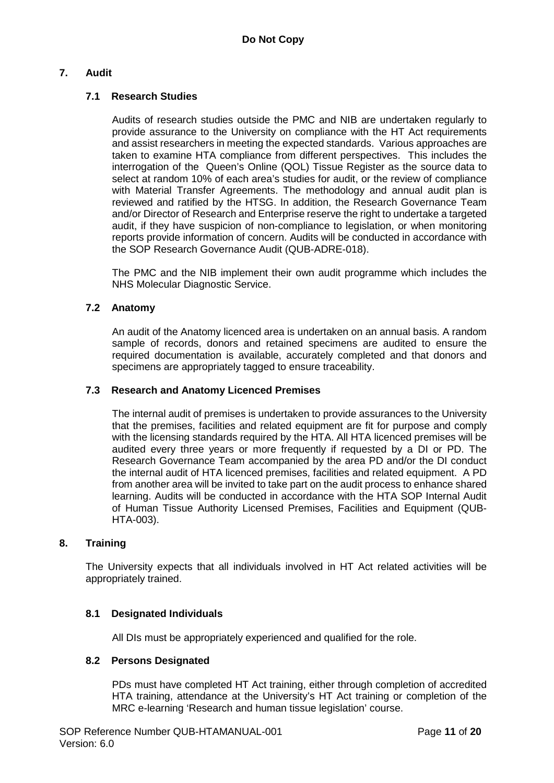### **7. Audit**

### **7.1 Research Studies**

Audits of research studies outside the PMC and NIB are undertaken regularly to provide assurance to the University on compliance with the HT Act requirements and assist researchers in meeting the expected standards. Various approaches are taken to examine HTA compliance from different perspectives. This includes the interrogation of the Queen's Online (QOL) Tissue Register as the source data to select at random 10% of each area's studies for audit, or the review of compliance with Material Transfer Agreements. The methodology and annual audit plan is reviewed and ratified by the HTSG. In addition, the Research Governance Team and/or Director of Research and Enterprise reserve the right to undertake a targeted audit, if they have suspicion of non-compliance to legislation, or when monitoring reports provide information of concern. Audits will be conducted in accordance with the SOP Research Governance Audit (QUB-ADRE-018).

The PMC and the NIB implement their own audit programme which includes the NHS Molecular Diagnostic Service.

### **7.2 Anatomy**

An audit of the Anatomy licenced area is undertaken on an annual basis. A random sample of records, donors and retained specimens are audited to ensure the required documentation is available, accurately completed and that donors and specimens are appropriately tagged to ensure traceability.

### **7.3 Research and Anatomy Licenced Premises**

The internal audit of premises is undertaken to provide assurances to the University that the premises, facilities and related equipment are fit for purpose and comply with the licensing standards required by the HTA. All HTA licenced premises will be audited every three years or more frequently if requested by a DI or PD. The Research Governance Team accompanied by the area PD and/or the DI conduct the internal audit of HTA licenced premises, facilities and related equipment. A PD from another area will be invited to take part on the audit process to enhance shared learning. Audits will be conducted in accordance with the HTA SOP Internal Audit of Human Tissue Authority Licensed Premises, Facilities and Equipment (QUB-HTA-003).

#### **8. Training**

The University expects that all individuals involved in HT Act related activities will be appropriately trained.

#### **8.1 Designated Individuals**

All DIs must be appropriately experienced and qualified for the role.

#### **8.2 Persons Designated**

PDs must have completed HT Act training, either through completion of accredited HTA training, attendance at the University's HT Act training or completion of the MRC e-learning 'Research and human tissue legislation' course.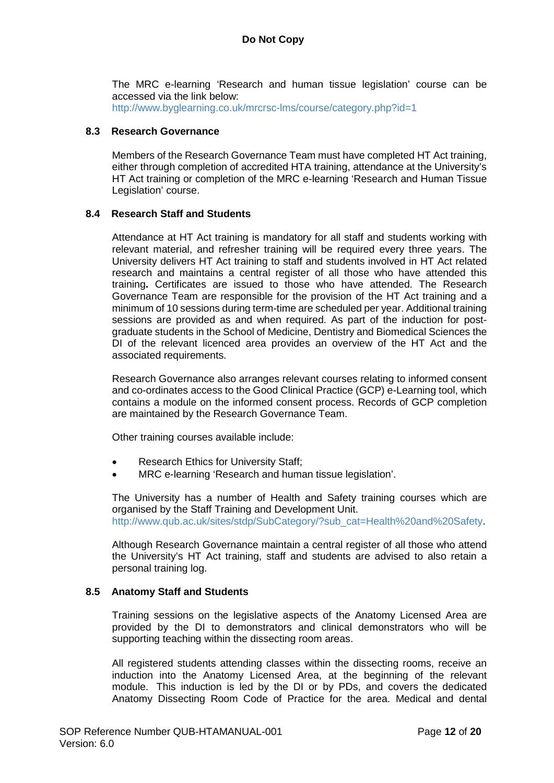The MRC e-learning 'Research and human tissue legislation' course can be accessed via the link below:

<http://www.byglearning.co.uk/mrcrsc-lms/course/category.php?id=1>

### **8.3 Research Governance**

Members of the Research Governance Team must have completed HT Act training, either through completion of accredited HTA training, attendance at the University's HT Act training or completion of the MRC e-learning 'Research and Human Tissue Legislation' course.

### **8.4 Research Staff and Students**

Attendance at HT Act training is mandatory for all staff and students working with relevant material, and refresher training will be required every three years. The University delivers HT Act training to staff and students involved in HT Act related research and maintains a central register of all those who have attended this training**.** Certificates are issued to those who have attended. The Research Governance Team are responsible for the provision of the HT Act training and a minimum of 10 sessions during term-time are scheduled per year. Additional training sessions are provided as and when required. As part of the induction for postgraduate students in the School of Medicine, Dentistry and Biomedical Sciences the DI of the relevant licenced area provides an overview of the HT Act and the associated requirements.

Research Governance also arranges relevant courses relating to informed consent and co-ordinates access to the Good Clinical Practice (GCP) e-Learning tool, which contains a module on the informed consent process. Records of GCP completion are maintained by the Research Governance Team.

Other training courses available include:

- Research Ethics for University Staff;
- MRC e-learning 'Research and human tissue legislation'.

The University has a number of Health and Safety training courses which are organised by the Staff Training and Development Unit. [http://www.qub.ac.uk/sites/stdp/SubCategory/?sub\\_cat=Health%20and%20Safety.](http://www.qub.ac.uk/sites/stdp/SubCategory/?sub_cat=Health%20and%20Safety)

Although Research Governance maintain a central register of all those who attend the University's HT Act training, staff and students are advised to also retain a personal training log.

### **8.5 Anatomy Staff and Students**

Training sessions on the legislative aspects of the Anatomy Licensed Area are provided by the DI to demonstrators and clinical demonstrators who will be supporting teaching within the dissecting room areas.

All registered students attending classes within the dissecting rooms, receive an induction into the Anatomy Licensed Area, at the beginning of the relevant module. This induction is led by the DI or by PDs, and covers the dedicated Anatomy Dissecting Room Code of Practice for the area. Medical and dental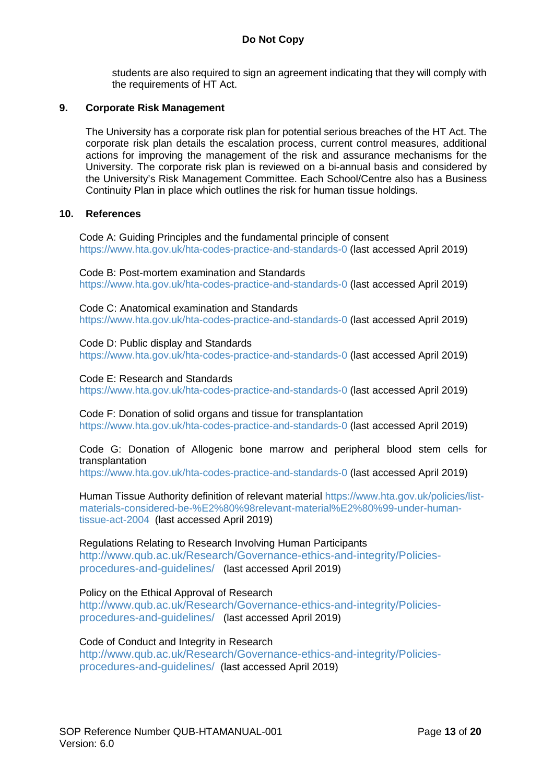students are also required to sign an agreement indicating that they will comply with the requirements of HT Act.

### **9. Corporate Risk Management**

The University has a corporate risk plan for potential serious breaches of the HT Act. The corporate risk plan details the escalation process, current control measures, additional actions for improving the management of the risk and assurance mechanisms for the University. The corporate risk plan is reviewed on a bi-annual basis and considered by the University's Risk Management Committee. Each School/Centre also has a Business Continuity Plan in place which outlines the risk for human tissue holdings.

### **10. References**

Code A: Guiding Principles and the fundamental principle of consent <https://www.hta.gov.uk/hta-codes-practice-and-standards-0> (last accessed April 2019)

Code B: Post-mortem examination and Standards <https://www.hta.gov.uk/hta-codes-practice-and-standards-0> (last accessed April 2019)

Code C: Anatomical examination and Standards <https://www.hta.gov.uk/hta-codes-practice-and-standards-0> (last accessed April 2019)

Code D: Public display and Standards <https://www.hta.gov.uk/hta-codes-practice-and-standards-0> (last accessed April 2019)

Code E: Research and Standards <https://www.hta.gov.uk/hta-codes-practice-and-standards-0> (last accessed April 2019)

Code F: Donation of solid organs and tissue for transplantation <https://www.hta.gov.uk/hta-codes-practice-and-standards-0> (last accessed April 2019)

Code G: Donation of Allogenic bone marrow and peripheral blood stem cells for transplantation

<https://www.hta.gov.uk/hta-codes-practice-and-standards-0> (last accessed April 2019)

Human Tissue Authority definition of relevant material [https://www.hta.gov.uk/policies/list](https://www.hta.gov.uk/policies/list-materials-considered-be-%E2%80%98relevant-material%E2%80%99-under-human-tissue-act-2004)[materials-considered-be-%E2%80%98relevant-material%E2%80%99-under-human](https://www.hta.gov.uk/policies/list-materials-considered-be-%E2%80%98relevant-material%E2%80%99-under-human-tissue-act-2004)[tissue-act-2004](https://www.hta.gov.uk/policies/list-materials-considered-be-%E2%80%98relevant-material%E2%80%99-under-human-tissue-act-2004) (last accessed April 2019)

Regulations Relating to Research Involving Human Participants

[http://www.qub.ac.uk/Research/Governance-ethics-and-integrity/Policies](http://www.qub.ac.uk/Research/Governance-ethics-and-integrity/Policies-procedures-and-guidelines/)[procedures-and-guidelines/](http://www.qub.ac.uk/Research/Governance-ethics-and-integrity/Policies-procedures-and-guidelines/) (last accessed April 2019)

### Policy on the Ethical Approval of Research

[http://www.qub.ac.uk/Research/Governance-ethics-and-integrity/Policies](http://www.qub.ac.uk/Research/Governance-ethics-and-integrity/Policies-procedures-and-guidelines/)[procedures-and-guidelines/](http://www.qub.ac.uk/Research/Governance-ethics-and-integrity/Policies-procedures-and-guidelines/) (last accessed April 2019)

Code of Conduct and Integrity in Research

[http://www.qub.ac.uk/Research/Governance-ethics-and-integrity/Policies](http://www.qub.ac.uk/Research/Governance-ethics-and-integrity/Policies-procedures-and-guidelines/)[procedures-and-guidelines/](http://www.qub.ac.uk/Research/Governance-ethics-and-integrity/Policies-procedures-and-guidelines/) (last accessed April 2019)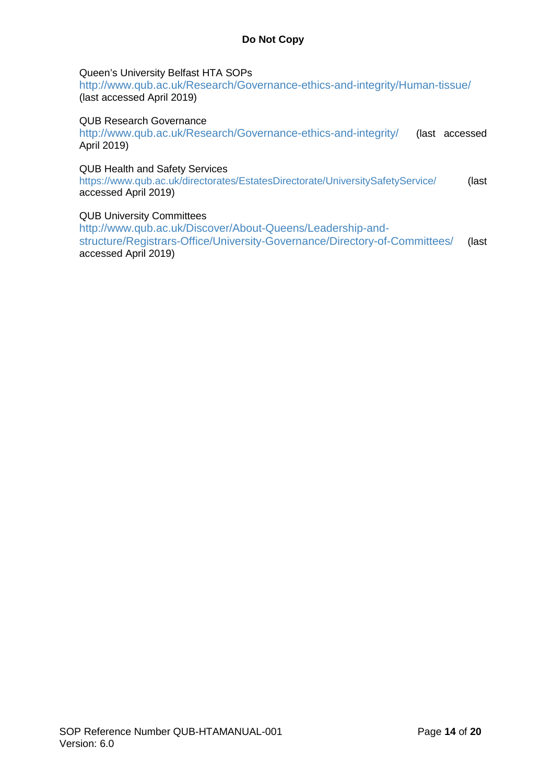### Queen's University Belfast HTA SOPs

<http://www.qub.ac.uk/Research/Governance-ethics-and-integrity/Human-tissue/> (last accessed April 2019)

### QUB Research Governance

<http://www.qub.ac.uk/Research/Governance-ethics-and-integrity/> (last accessed April 2019)

### QUB Health and Safety Services

<https://www.qub.ac.uk/directorates/EstatesDirectorate/UniversitySafetyService/> (last accessed April 2019)

### QUB University Committees

[http://www.qub.ac.uk/Discover/About-Queens/Leadership-and](http://www.qub.ac.uk/Discover/About-Queens/Leadership-and-structure/Registrars-Office/University-Governance/Directory-of-Committees/)[structure/Registrars-Office/University-Governance/Directory-of-Committees/](http://www.qub.ac.uk/Discover/About-Queens/Leadership-and-structure/Registrars-Office/University-Governance/Directory-of-Committees/) (last accessed April 2019)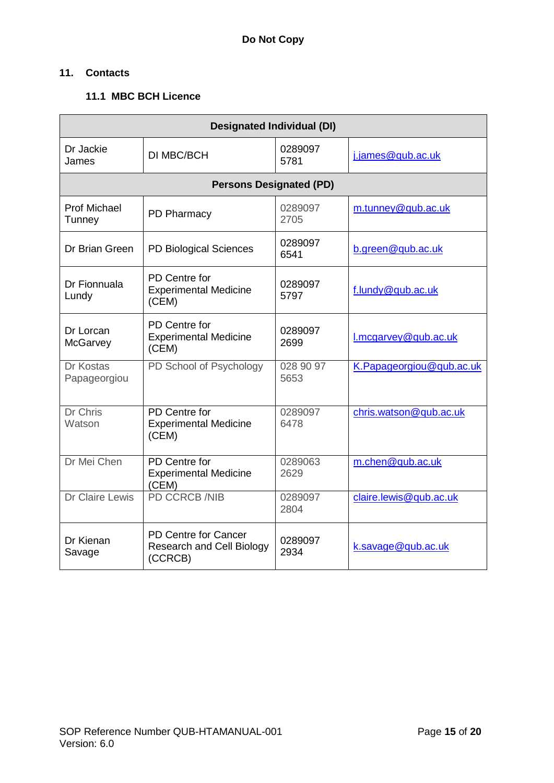### **11. Contacts**

### **11.1 MBC BCH Licence**

| <b>Designated Individual (DI)</b> |                                                                            |                   |                          |  |
|-----------------------------------|----------------------------------------------------------------------------|-------------------|--------------------------|--|
| Dr Jackie<br>James                | DI MBC/BCH                                                                 | 0289097<br>5781   | j.james@qub.ac.uk        |  |
|                                   | <b>Persons Designated (PD)</b>                                             |                   |                          |  |
| <b>Prof Michael</b><br>Tunney     | PD Pharmacy                                                                | 0289097<br>2705   | m.tunney@qub.ac.uk       |  |
| Dr Brian Green                    | PD Biological Sciences                                                     | 0289097<br>6541   | b.green@qub.ac.uk        |  |
| Dr Fionnuala<br>Lundy             | PD Centre for<br><b>Experimental Medicine</b><br>(CEM)                     | 0289097<br>5797   | f.lundy@qub.ac.uk        |  |
| Dr Lorcan<br>McGarvey             | PD Centre for<br><b>Experimental Medicine</b><br>(CEM)                     | 0289097<br>2699   | l.mcgarvey@qub.ac.uk     |  |
| Dr Kostas<br>Papageorgiou         | PD School of Psychology                                                    | 028 90 97<br>5653 | K.Papageorgiou@qub.ac.uk |  |
| <b>Dr Chris</b><br>Watson         | PD Centre for<br><b>Experimental Medicine</b><br>(CEM)                     | 0289097<br>6478   | chris.watson@qub.ac.uk   |  |
| Dr Mei Chen                       | PD Centre for<br><b>Experimental Medicine</b><br>(CEM)                     | 0289063<br>2629   | m.chen@qub.ac.uk         |  |
| Dr Claire Lewis                   | <b>PD CCRCB /NIB</b>                                                       | 0289097<br>2804   | claire.lewis@qub.ac.uk   |  |
| Dr Kienan<br>Savage               | <b>PD Centre for Cancer</b><br><b>Research and Cell Biology</b><br>(CCRCB) | 0289097<br>2934   | k.savage@qub.ac.uk       |  |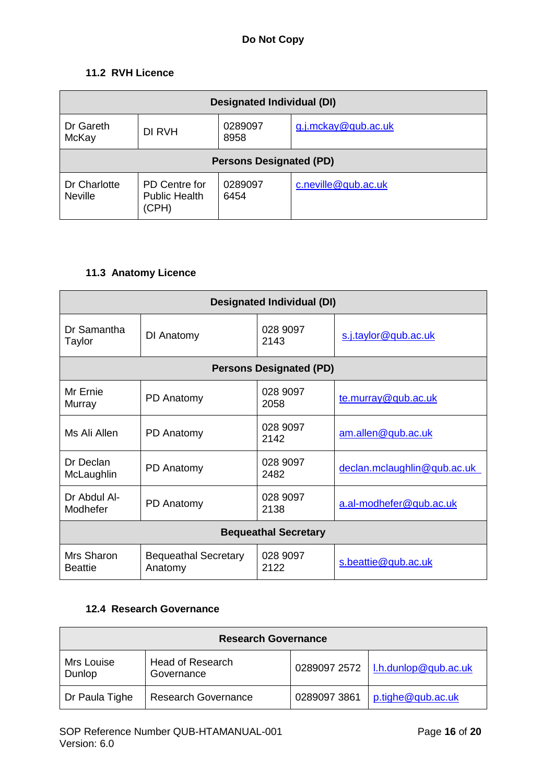### **11.2 RVH Licence**

| <b>Designated Individual (DI)</b> |                                                |                 |                     |  |
|-----------------------------------|------------------------------------------------|-----------------|---------------------|--|
| Dr Gareth<br>McKay                | DI RVH                                         | 0289097<br>8958 | g.j.mckay@qub.ac.uk |  |
| <b>Persons Designated (PD)</b>    |                                                |                 |                     |  |
| Dr Charlotte<br><b>Neville</b>    | PD Centre for<br><b>Public Health</b><br>(CPH) | 0289097<br>6454 | c.neville@qub.ac.uk |  |

# **11.3 Anatomy Licence**

| <b>Designated Individual (DI)</b> |                                        |                                |                             |
|-----------------------------------|----------------------------------------|--------------------------------|-----------------------------|
| Dr Samantha<br>Taylor             | DI Anatomy                             | 028 9097<br>2143               | s.j.taylor@qub.ac.uk        |
|                                   |                                        | <b>Persons Designated (PD)</b> |                             |
| Mr Frnie<br>Murray                | PD Anatomy                             | 028 9097<br>2058               | te.murray@qub.ac.uk         |
| Ms Ali Allen                      | PD Anatomy                             | 028 9097<br>2142               | am.allen@qub.ac.uk          |
| Dr Declan<br>McLaughlin           | PD Anatomy                             | 028 9097<br>2482               | declan.mclaughlin@qub.ac.uk |
| Dr Abdul Al-<br>Modhefer          | PD Anatomy                             | 028 9097<br>2138               | a.al-modhefer@qub.ac.uk     |
| <b>Bequeathal Secretary</b>       |                                        |                                |                             |
| Mrs Sharon<br><b>Beattie</b>      | <b>Bequeathal Secretary</b><br>Anatomy | 028 9097<br>2122               | s.beattie@qub.ac.uk         |

### **12.4 Research Governance**

| <b>Research Governance</b> |                                |              |                      |  |
|----------------------------|--------------------------------|--------------|----------------------|--|
| Mrs Louise<br>Dunlop       | Head of Research<br>Governance | 0289097 2572 | l.h.dunlop@qub.ac.uk |  |
| Dr Paula Tighe             | <b>Research Governance</b>     | 0289097 3861 | p.tighe@qub.ac.uk    |  |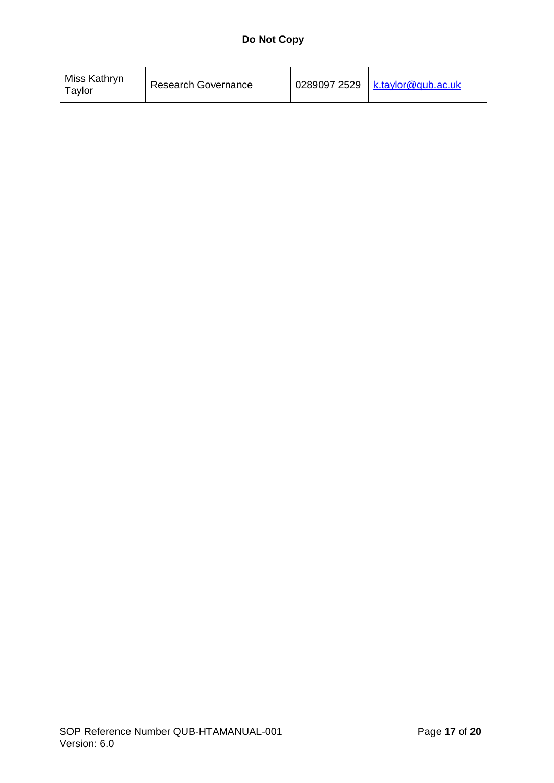| Miss Kathryn<br>Tavlor | <b>Research Governance</b> |  | 0289097 2529   $k.taylor@qub.ac.uk$ |
|------------------------|----------------------------|--|-------------------------------------|
|------------------------|----------------------------|--|-------------------------------------|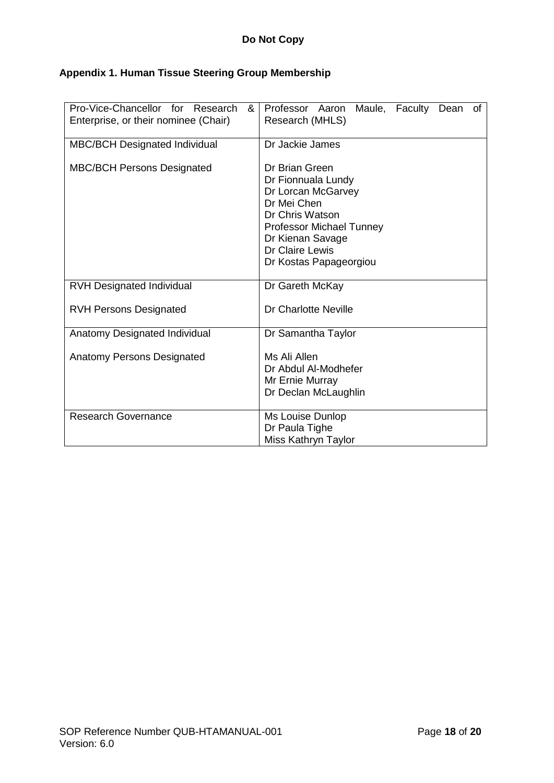# **Appendix 1. Human Tissue Steering Group Membership**

| Pro-Vice-Chancellor for Research<br>&<br>Enterprise, or their nominee (Chair) | Professor Aaron Maule, Faculty Dean of<br>Research (MHLS)                                                                                                                                        |  |  |
|-------------------------------------------------------------------------------|--------------------------------------------------------------------------------------------------------------------------------------------------------------------------------------------------|--|--|
| <b>MBC/BCH Designated Individual</b>                                          | Dr Jackie James                                                                                                                                                                                  |  |  |
| <b>MBC/BCH Persons Designated</b>                                             | Dr Brian Green<br>Dr Fionnuala Lundy<br>Dr Lorcan McGarvey<br>Dr Mei Chen<br>Dr Chris Watson<br><b>Professor Michael Tunney</b><br>Dr Kienan Savage<br>Dr Claire Lewis<br>Dr Kostas Papageorgiou |  |  |
| <b>RVH Designated Individual</b>                                              | Dr Gareth McKay                                                                                                                                                                                  |  |  |
| <b>RVH Persons Designated</b>                                                 | Dr Charlotte Neville                                                                                                                                                                             |  |  |
| Anatomy Designated Individual                                                 | Dr Samantha Taylor                                                                                                                                                                               |  |  |
| <b>Anatomy Persons Designated</b>                                             | Ms Ali Allen<br>Dr Abdul Al-Modhefer<br>Mr Ernie Murray<br>Dr Declan McLaughlin                                                                                                                  |  |  |
| <b>Research Governance</b>                                                    | Ms Louise Dunlop<br>Dr Paula Tighe<br>Miss Kathryn Taylor                                                                                                                                        |  |  |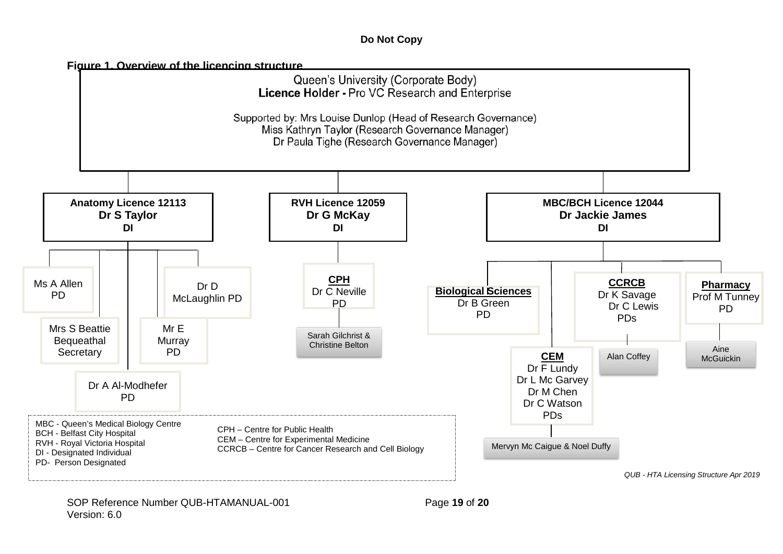### **Do Not Copy**